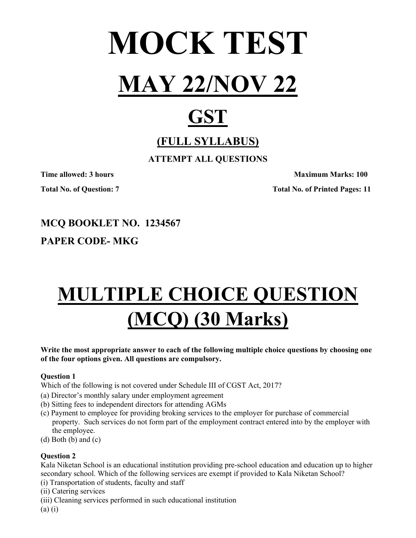

# **GST**

# **(FULL SYLLABUS)**

**ATTEMPT ALL QUESTIONS** 

**Time allowed: 3 hours Maximum Marks: 100 Maximum Marks: 100 Total No. of Question: 7 Total No. of Printed Pages: 11** 

# **MCQ BOOKLET NO. 1234567**

## **PAPER CODE- MKG**

# **MULTIPLE CHOICE QUESTION (MCQ) (30 Marks)**

**Write the most appropriate answer to each of the following multiple choice questions by choosing one of the four options given. All questions are compulsory.** 

### **Question 1**

Which of the following is not covered under Schedule III of CGST Act, 2017?

- (a) Director's monthly salary under employment agreement
- (b) Sitting fees to independent directors for attending AGMs
- (c) Payment to employee for providing broking services to the employer for purchase of commercial property. Such services do not form part of the employment contract entered into by the employer with the employee.
- (d) Both (b) and (c)

### **Question 2**

Kala Niketan School is an educational institution providing pre-school education and education up to higher secondary school. Which of the following services are exempt if provided to Kala Niketan School?

- (i) Transportation of students, faculty and staff
- (ii) Catering services
- (iii) Cleaning services performed in such educational institution

(a) (i)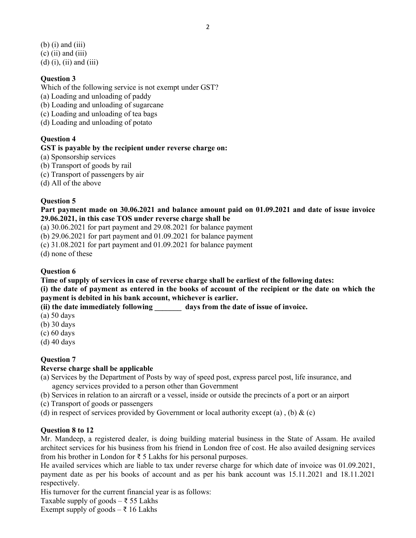$(b)$  (i) and (iii)  $(c)$  (ii) and (iii)  $(d)$  (i), (ii) and (iii)

#### **Question 3**

Which of the following service is not exempt under GST?

- (a) Loading and unloading of paddy
- (b) Loading and unloading of sugarcane
- (c) Loading and unloading of tea bags
- (d) Loading and unloading of potato

#### **Question 4**

#### **GST is payable by the recipient under reverse charge on:**

- (a) Sponsorship services
- (b) Transport of goods by rail
- (c) Transport of passengers by air
- (d) All of the above

#### **Question 5**

**Part payment made on 30.06.2021 and balance amount paid on 01.09.2021 and date of issue invoice 29.06.2021, in this case TOS under reverse charge shall be** 

(a) 30.06.2021 for part payment and 29.08.2021 for balance payment

(b) 29.06.2021 for part payment and 01.09.2021 for balance payment

(c) 31.08.2021 for part payment and 01.09.2021 for balance payment

(d) none of these

#### **Question 6**

**Time of supply of services in case of reverse charge shall be earliest of the following dates:** 

**(i) the date of payment as entered in the books of account of the recipient or the date on which the payment is debited in his bank account, whichever is earlier.** 

**(ii) the date immediately following \_\_\_\_\_\_\_ days from the date of issue of invoice.** 

- (a) 50 days
- (b) 30 days
- (c) 60 days
- (d) 40 days

#### **Question 7**

#### **Reverse charge shall be applicable**

- (a) Services by the Department of Posts by way of speed post, express parcel post, life insurance, and agency services provided to a person other than Government
- (b) Services in relation to an aircraft or a vessel, inside or outside the precincts of a port or an airport
- (c) Transport of goods or passengers
- (d) in respect of services provided by Government or local authority except (a), (b)  $\&$  (c)

#### **Question 8 to 12**

Mr. Mandeep, a registered dealer, is doing building material business in the State of Assam. He availed architect services for his business from his friend in London free of cost. He also availed designing services from his brother in London for  $\bar{\tau}$  5 Lakhs for his personal purposes.

He availed services which are liable to tax under reverse charge for which date of invoice was 01.09.2021, payment date as per his books of account and as per his bank account was 15.11.2021 and 18.11.2021 respectively.

His turnover for the current financial year is as follows:

Taxable supply of goods –  $\overline{\xi}$  55 Lakhs

Exempt supply of goods –  $\bar{\xi}$  16 Lakhs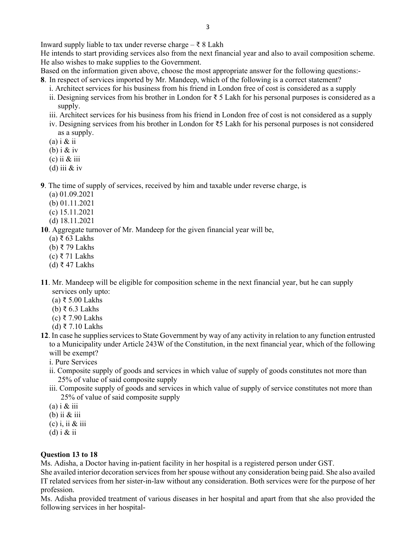Inward supply liable to tax under reverse charge –  $\bar{\tau}$  8 Lakh

He intends to start providing services also from the next financial year and also to avail composition scheme. He also wishes to make supplies to the Government.

Based on the information given above, choose the most appropriate answer for the following questions:- **8**. In respect of services imported by Mr. Mandeep, which of the following is a correct statement?

- i. Architect services for his business from his friend in London free of cost is considered as a supply
- ii. Designing services from his brother in London for ₹ 5 Lakh for his personal purposes is considered as a supply.
- iii. Architect services for his business from his friend in London free of cost is not considered as a supply
- iv. Designing services from his brother in London for ₹5 Lakh for his personal purposes is not considered as a supply.
- $(a)$  i & ii
- (b) i  $&$  iv
- $(c)$  ii  $&$  iii
- (d) iii  $&$  iv

**9**. The time of supply of services, received by him and taxable under reverse charge, is

- (a) 01.09.2021
- (b) 01.11.2021
- (c) 15.11.2021
- (d) 18.11.2021

**10**. Aggregate turnover of Mr. Mandeep for the given financial year will be,

- (a) ₹ 63 Lakhs
- (b) ₹ 79 Lakhs
- (c) ₹ 71 Lakhs
- (d) ₹ 47 Lakhs
- **11**. Mr. Mandeep will be eligible for composition scheme in the next financial year, but he can supply services only upto:
	- (a) ₹ 5.00 Lakhs
	- (b) ₹ 6.3 Lakhs
	- (c) ₹ 7.90 Lakhs
	- (d) ₹ 7.10 Lakhs
- **12**. In case he supplies services to State Government by way of any activity in relation to any function entrusted to a Municipality under Article 243W of the Constitution, in the next financial year, which of the following will be exempt?
	- i. Pure Services
	- ii. Composite supply of goods and services in which value of supply of goods constitutes not more than 25% of value of said composite supply
	- iii. Composite supply of goods and services in which value of supply of service constitutes not more than 25% of value of said composite supply
	- $(a)$  i & iii
	- (b) ii & iii
	- $(c)$  i, ii & iii
	- (d) i  $&$  ii

#### **Question 13 to 18**

Ms. Adisha, a Doctor having in-patient facility in her hospital is a registered person under GST.

She availed interior decoration services from her spouse without any consideration being paid. She also availed IT related services from her sister-in-law without any consideration. Both services were for the purpose of her profession.

Ms. Adisha provided treatment of various diseases in her hospital and apart from that she also provided the following services in her hospital-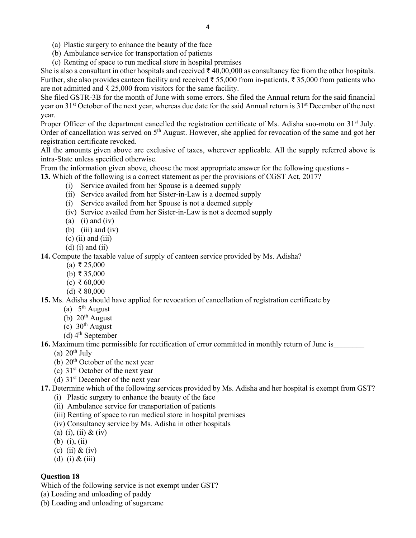- (a) Plastic surgery to enhance the beauty of the face
- (b) Ambulance service for transportation of patients
- (c) Renting of space to run medical store in hospital premises

She is also a consultant in other hospitals and received  $\bar{\tau}$  40,00,000 as consultancy fee from the other hospitals. Further, she also provides canteen facility and received ₹ 55,000 from in-patients, ₹ 35,000 from patients who are not admitted and ₹ 25,000 from visitors for the same facility.

4

She filed GSTR-3B for the month of June with some errors. She filed the Annual return for the said financial year on  $31<sup>st</sup>$  October of the next year, whereas due date for the said Annual return is  $31<sup>st</sup>$  December of the next year.

Proper Officer of the department cancelled the registration certificate of Ms. Adisha suo-motu on  $31<sup>st</sup>$  July. Order of cancellation was served on 5<sup>th</sup> August. However, she applied for revocation of the same and got her registration certificate revoked.

All the amounts given above are exclusive of taxes, wherever applicable. All the supply referred above is intra-State unless specified otherwise.

From the information given above, choose the most appropriate answer for the following questions -

**13.** Which of the following is a correct statement as per the provisions of CGST Act, 2017?

- (i) Service availed from her Spouse is a deemed supply
- (ii) Service availed from her Sister-in-Law is a deemed supply
- (i) Service availed from her Spouse is not a deemed supply
- (iv) Service availed from her Sister-in-Law is not a deemed supply
- (a) (i) and (iv)
- (b) (iii) and (iv)
- $(c)$  (ii) and (iii)
- $(d)$  (i) and (ii)

**14.** Compute the taxable value of supply of canteen service provided by Ms. Adisha?

- (a) ₹ 25,000
- (b) ₹ 35,000
- (c) ₹ 60,000
- (d) ₹ 80,000

#### **15.** Ms. Adisha should have applied for revocation of cancellation of registration certificate by

- (a)  $5<sup>th</sup>$  August
- (b)  $20<sup>th</sup>$  August
- $(c)$  30<sup>th</sup> August
- (d)  $4<sup>th</sup>$  September

**16.** Maximum time permissible for rectification of error committed in monthly return of June is\_\_\_\_\_\_\_\_

- (a)  $20<sup>th</sup>$  July
- (b)  $20<sup>th</sup>$  October of the next year
- (c)  $31<sup>st</sup> October of the next year$
- (d)  $31<sup>st</sup>$  December of the next year

**17.** Determine which of the following services provided by Ms. Adisha and her hospital is exempt from GST?

- (i) Plastic surgery to enhance the beauty of the face
- (ii) Ambulance service for transportation of patients
- (iii) Renting of space to run medical store in hospital premises
- (iv) Consultancy service by Ms. Adisha in other hospitals
- (a) (i), (ii)  $&$  (iv)
- (b) (i), (ii)
- (c) (ii)  $&$  (iv)
- (d) (i) & (iii)

#### **Question 18**

Which of the following service is not exempt under GST?

- (a) Loading and unloading of paddy
- (b) Loading and unloading of sugarcane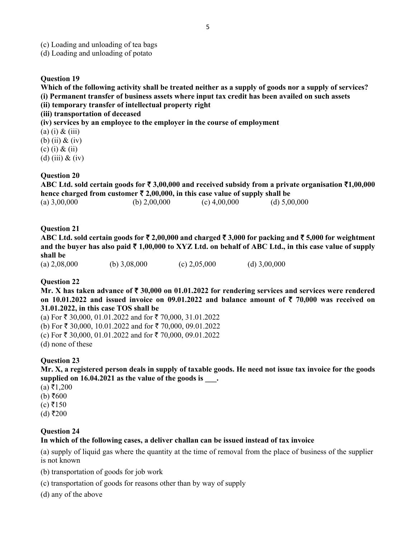- (c) Loading and unloading of tea bags
- (d) Loading and unloading of potato

#### **Question 19**

**Which of the following activity shall be treated neither as a supply of goods nor a supply of services? (i) Permanent transfer of business assets where input tax credit has been availed on such assets (ii) temporary transfer of intellectual property right** 

**(iii) transportation of deceased** 

**(iv) services by an employee to the employer in the course of employment** 

- $(a)$  (i) & (iii)
- (b) (ii) & (iv)
- (c) (i) & (ii)
- (d) (iii)  $\&$  (iv)

#### **Question 20**

**ABC Ltd. sold certain goods for** ` **3,00,000 and received subsidy from a private organisation** `**1,00,000**  hence charged from customer  $\bar{\tau}$  2,00,000, in this case value of supply shall be (a)  $3,00,000$  (b)  $2,00,000$  (c)  $4,00,000$  (d)  $5,00,000$ 

#### **Question 21**

**ABC Ltd. sold certain goods for** ` **2,00,000 and charged** ` **3,000 for packing and** ` **5,000 for weightment**  and the buyer has also paid  $\bar{\tau}$  1,00,000 to XYZ Ltd. on behalf of ABC Ltd., in this case value of supply **shall be** 

#### **Question 22**

**Mr. X has taken advance of** ` **30,000 on 01.01.2022 for rendering services and services were rendered on 10.01.2022 and issued invoice on 09.01.2022 and balance amount of**  $\bar{\tau}$  **70,000 was received on 31.01.2022, in this case TOS shall be** 

(a) For  $\bar{\tau}$  30,000, 01.01.2022 and for  $\bar{\tau}$  70,000, 31.01.2022 (b) For  $\bar{\tau}$  30,000, 10.01.2022 and for  $\bar{\tau}$  70,000, 09.01.2022

- (c) For  $\bar{\tau}$  30,000, 01.01.2022 and for  $\bar{\tau}$  70,000, 09.01.2022
- (d) none of these

#### **Question 23**

**Mr. X, a registered person deals in supply of taxable goods. He need not issue tax invoice for the goods**  supplied on 16.04.2021 as the value of the goods is  $\qquad$ .

- $(a) \xi 1,200$
- $(b) ₹600$
- $(c)$  ₹150
- $(d)$  ₹200

#### **Question 24**

#### **In which of the following cases, a deliver challan can be issued instead of tax invoice**

(a) supply of liquid gas where the quantity at the time of removal from the place of business of the supplier is not known

- (b) transportation of goods for job work
- (c) transportation of goods for reasons other than by way of supply
- (d) any of the above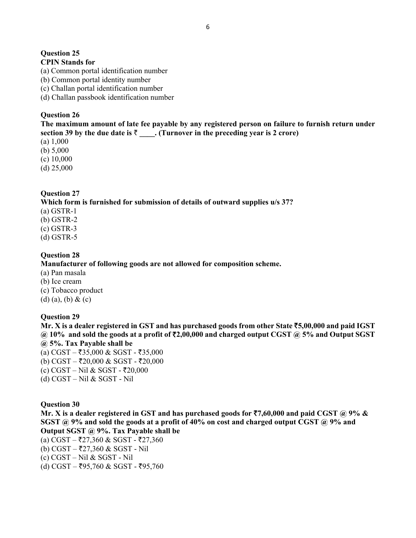### **Question 25**

### **CPIN Stands for**

- (a) Common portal identification number
- (b) Common portal identity number
- (c) Challan portal identification number
- (d) Challan passbook identification number

#### **Question 26**

**The maximum amount of late fee payable by any registered person on failure to furnish return under**  section 39 by the due date is  $\bar{\tau}$  \_\_\_. (Turnover in the preceding year is 2 crore)

(a) 1,000

(b) 5,000

(c) 10,000

(d) 25,000

### **Question 27**

#### **Which form is furnished for submission of details of outward supplies u/s 37?**

(a) GSTR-1

(b) GSTR-2

(c) GSTR-3

(d) GSTR-5

### **Question 28**

#### **Manufacturer of following goods are not allowed for composition scheme.**

- (a) Pan masala
- (b) Ice cream
- (c) Tobacco product
- (d) (a), (b) & (c)

#### **Question 29**

**Mr. X is a dealer registered in GST and has purchased goods from other State** `**5,00,000 and paid IGST @ 10% and sold the goods at a profit of** `**2,00,000 and charged output CGST @ 5% and Output SGST @ 5%. Tax Payable shall be** 

- (a) CGST ₹35,000 & SGST ₹35,000
- (b) CGST ₹20,000 & SGST ₹20,000
- $(c) CGST Nil & SGST ₹20,000$
- (d) CGST Nil & SGST Nil

#### **Question 30**

**Mr. X is a dealer registered in GST and has purchased goods for** `**7,60,000 and paid CGST @ 9% & SGST @ 9% and sold the goods at a profit of 40% on cost and charged output CGST @ 9% and Output SGST @ 9%. Tax Payable shall be** 

- (a) CGST ₹27,360 & SGST ₹27,360
- (b) CGST ₹27,360 & SGST Nil
- (c) CGST Nil & SGST Nil
- $(d)$  CGST ₹95,760 & SGST ₹95,760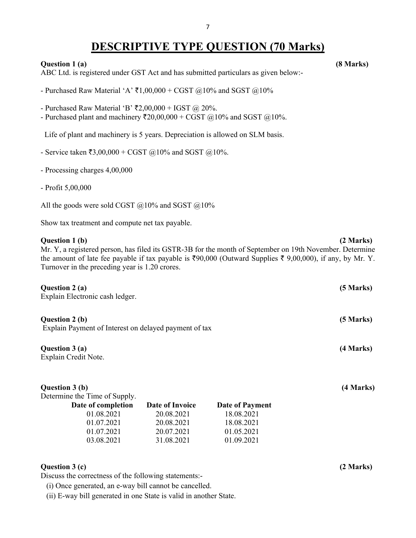## **DESCRIPTIVE TYPE QUESTION (70 Marks)**

#### **Question 1 (a) (8 Marks)**

ABC Ltd. is registered under GST Act and has submitted particulars as given below:-

- Purchased Raw Material 'A'  $\bar{\tau}$ 1,00,000 + CGST @10% and SGST @10%

- Purchased Raw Material 'B'  $\overline{52,00,000}$  + IGST @ 20%.

- Purchased plant and machinery  $\overline{(}20,00,000 + \text{CGST} \text{ @ } 10\%$  and SGST  $\textcircled{a}10\%$ .

Life of plant and machinery is 5 years. Depreciation is allowed on SLM basis.

- Service taken  $\bar{x}3,00,000 + \bar{C}GST$  ( $\bar{\omega}10\%$  and SGST ( $\bar{\omega}10\%$ .
- Processing charges 4,00,000
- Profit 5,00,000

All the goods were sold CGST  $@10\%$  and SGST  $@10\%$ 

Show tax treatment and compute net tax payable.

#### **Question 1 (b)** (2 Marks)

Mr. Y, a registered person, has filed its GSTR-3B for the month of September on 19th November. Determine the amount of late fee payable if tax payable is  $\text{\textdegree}90,000$  (Outward Supplies  $\text{\textdegree}59,00,000$ ), if any, by Mr. Y. Turnover in the preceding year is 1.20 crores.

| Question 2 (a)<br>Explain Electronic cash ledger.                       | (5 Marks) |
|-------------------------------------------------------------------------|-----------|
| Question 2 (b)<br>Explain Payment of Interest on delayed payment of tax | (5 Marks) |
| Question 3 (a)<br>Explain Credit Note.                                  | (4 Marks) |
| Question 3 (b)<br>Determine the Time of Supply.                         | (4 Marks) |

| Date of completion | Date of Invoice | Date of Payment |
|--------------------|-----------------|-----------------|
| 01.08.2021         | 20.08.2021      | 18.08.2021      |
| 01.07.2021         | 20.08.2021      | 18.08.2021      |
| 01.07.2021         | 20.07.2021      | 01.05.2021      |
| 03.08.2021         | 31.08.2021      | 01.09.2021      |

#### **Question 3 (c) (2 Marks)**

Discuss the correctness of the following statements:-

(i) Once generated, an e-way bill cannot be cancelled.

(ii) E-way bill generated in one State is valid in another State.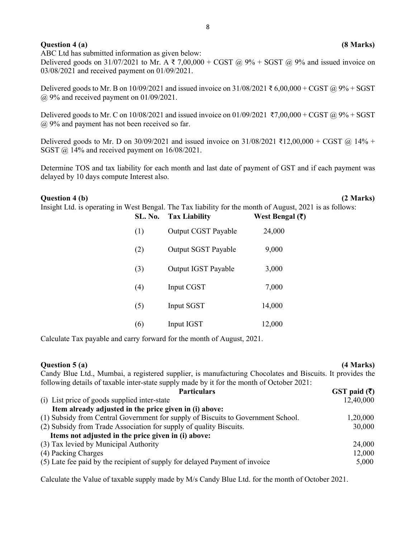#### **Question 4 (a)** (8 Marks)

ABC Ltd has submitted information as given below: Delivered goods on 31/07/2021 to Mr. A ₹ 7,00,000 + CGST @ 9% + SGST @ 9% and issued invoice on 03/08/2021 and received payment on 01/09/2021.

Delivered goods to Mr. B on  $10/09/2021$  and issued invoice on  $31/08/2021 \xi 6,00,000 + CGST$  @ 9% + SGST @ 9% and received payment on 01/09/2021.

Delivered goods to Mr. C on 10/08/2021 and issued invoice on 01/09/2021 ₹7,00,000 + CGST @ 9% + SGST @ 9% and payment has not been received so far.

Delivered goods to Mr. D on 30/09/2021 and issued invoice on 31/08/2021 ₹12,00,000 + CGST @ 14% + SGST @ 14% and received payment on 16/08/2021.

Determine TOS and tax liability for each month and last date of payment of GST and if each payment was delayed by 10 days compute Interest also.

#### **Question 4 (b) (2 Marks)**

Insight Ltd. is operating in West Bengal. The Tax liability for the month of August, 2021 is as follows:

| SL. No. | <b>Tax Liability</b>       | West Bengal $(\bar{\zeta})$ |
|---------|----------------------------|-----------------------------|
| (1)     | <b>Output CGST Payable</b> | 24,000                      |
| (2)     | <b>Output SGST Payable</b> | 9,000                       |
| (3)     | Output IGST Payable        | 3,000                       |
| (4)     | Input CGST                 | 7,000                       |
| (5)     | Input SGST                 | 14,000                      |
| (6)     | Input IGST                 | 12,000                      |

Calculate Tax payable and carry forward for the month of August, 2021.

### **Question 5 (a)** (4 Marks) Candy Blue Ltd., Mumbai, a registered supplier, is manufacturing Chocolates and Biscuits. It provides the following details of taxable inter-state supply made by it for the month of October 2021: Particulars GST paid (₹) (i) List price of goods supplied inter-state  $12,40,000$  **Item already adjusted in the price given in (i) above:**  (1) Subsidy from Central Government for supply of Biscuits to Government School. 1,20,000 (2) Subsidy from Trade Association for supply of quality Biscuits. 30,000 **Items not adjusted in the price given in (i) above:**  (3) Tax levied by Municipal Authority 24,000 (4) Packing Charges 12,000

(5) Late fee paid by the recipient of supply for delayed Payment of invoice 5,000

Calculate the Value of taxable supply made by M/s Candy Blue Ltd. for the month of October 2021.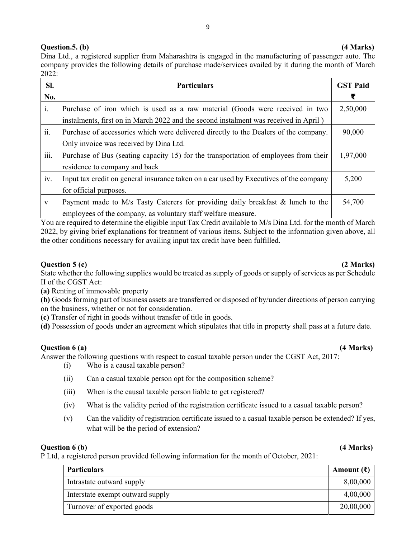### **Question.5. (b) (4 Marks)**

Dina Ltd., a registered supplier from Maharashtra is engaged in the manufacturing of passenger auto. The company provides the following details of purchase made/services availed by it during the month of March 2022:

| SI.          | <b>Particulars</b>                                                                     | <b>GST Paid</b> |
|--------------|----------------------------------------------------------------------------------------|-----------------|
| No.          |                                                                                        | ₹               |
| i.           | Purchase of iron which is used as a raw material (Goods were received in two           | 2,50,000        |
|              | instalments, first on in March 2022 and the second instalment was received in April)   |                 |
| ii.          | Purchase of accessories which were delivered directly to the Dealers of the company.   | 90,000          |
|              | Only invoice was received by Dina Ltd.                                                 |                 |
| iii.         | Purchase of Bus (seating capacity 15) for the transportation of employees from their   | 1,97,000        |
|              | residence to company and back                                                          |                 |
| iv.          | Input tax credit on general insurance taken on a car used by Executives of the company | 5,200           |
|              | for official purposes.                                                                 |                 |
| $\mathbf{V}$ | Payment made to M/s Tasty Caterers for providing daily breakfast & lunch to the        | 54,700          |
|              | employees of the company, as voluntary staff welfare measure.                          |                 |

You are required to determine the eligible input Tax Credit available to M/s Dina Ltd. for the month of March 2022, by giving brief explanations for treatment of various items. Subject to the information given above, all the other conditions necessary for availing input tax credit have been fulfilled.

#### **Question 5 (c)** (2 Marks)

State whether the following supplies would be treated as supply of goods or supply of services as per Schedule II of the CGST Act:

**(a)** Renting of immovable property

**(b)** Goods forming part of business assets are transferred or disposed of by/under directions of person carrying on the business, whether or not for consideration.

**(c)** Transfer of right in goods without transfer of title in goods.

**(d)** Possession of goods under an agreement which stipulates that title in property shall pass at a future date.

#### **Question 6 (a)** *Q A <i>Q Q <i>Marks***)**  *A <i>A <i>A A <i>A <i>A A A A A A A A A A A A A A A A A A A A A A A*

- Answer the following questions with respect to casual taxable person under the CGST Act, 2017:
	- (i) Who is a causal taxable person?
	- (ii) Can a casual taxable person opt for the composition scheme?
	- (iii) When is the causal taxable person liable to get registered?
	- (iv) What is the validity period of the registration certificate issued to a casual taxable person?
	- (v) Can the validity of registration certificate issued to a casual taxable person be extended? If yes, what will be the period of extension?

#### **Question 6 (b)** (4 Marks)

P Ltd, a registered person provided following information for the month of October, 2021:

| <b>Particulars</b>               | Amount $(\bar{\mathbf{z}})$ |
|----------------------------------|-----------------------------|
| Intrastate outward supply        | 8,00,000                    |
| Interstate exempt outward supply | 4,00,000                    |
| Turnover of exported goods       | 20,00,000                   |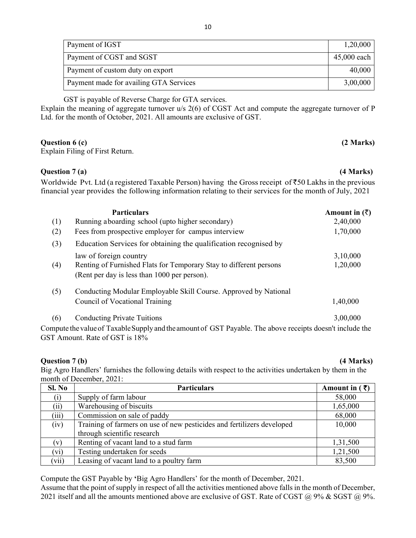| Payment of IGST                        | 1,20,000    |
|----------------------------------------|-------------|
| Payment of CGST and SGST               | 45,000 each |
| Payment of custom duty on export       | 40,000      |
| Payment made for availing GTA Services | 3,00,000    |

GST is payable of Reverse Charge for GTA services.

Explain the meaning of aggregate turnover u/s 2(6) of CGST Act and compute the aggregate turnover of P Ltd. for the month of October, 2021. All amounts are exclusive of GST.

#### **Question 6 (c)** (2 Marks)

Explain Filing of First Return.

#### **Question 7 (a) (4 Marks)**

Worldwide Pvt. Ltd (a registered Taxable Person) having the Gross receipt of  $\overline{50}0$  Lakhs in the previous financial year provides the following information relating to their services for the month of July, 2021

|     | <b>Particulars</b>                                                                                        | Amount in $(\bar{\zeta})$ |
|-----|-----------------------------------------------------------------------------------------------------------|---------------------------|
| (1) | Running aboarding school (upto higher secondary)                                                          | 2,40,000                  |
| (2) | Fees from prospective employer for campus interview                                                       | 1,70,000                  |
| (3) | Education Services for obtaining the qualification recognised by                                          |                           |
|     | law of foreign country                                                                                    | 3,10,000                  |
| (4) | Renting of Furnished Flats for Temporary Stay to different persons                                        | 1,20,000                  |
|     | (Rent per day is less than 1000 per person).                                                              |                           |
| (5) | Conducting Modular Employable Skill Course. Approved by National                                          |                           |
|     | Council of Vocational Training                                                                            | 1,40,000                  |
| (6) | <b>Conducting Private Tuitions</b>                                                                        | 3,00,000                  |
|     | Compute the value of Taxable Supply and the amount of GST Payable. The above receipts doesn't include the |                           |
|     | GST Amount. Rate of GST is 18%                                                                            |                           |

#### **Question 7 (b)** (4 Marks)

Big Agro Handlers' furnishes the following details with respect to the activities undertaken by them in the month of December, 2021:

| SI. No | <b>Particulars</b>                                                     | Amount in $(3)$ |
|--------|------------------------------------------------------------------------|-----------------|
| (i)    | Supply of farm labour                                                  | 58,000          |
| (ii)   | Warehousing of biscuits                                                | 1,65,000        |
| (iii)  | Commission on sale of paddy                                            | 68,000          |
| (iv)   | Training of farmers on use of new pesticides and fertilizers developed | 10,000          |
|        | through scientific research                                            |                 |
| (v)    | Renting of vacant land to a stud farm                                  | 1,31,500        |
| (vi)   | Testing undertaken for seeds                                           | 1,21,500        |
| (vii)  | Leasing of vacant land to a poultry farm                               | 83,500          |

Compute the GST Payable by **'**Big Agro Handlers' for the month of December, 2021.

Assume that the point of supply in respect of all the activities mentioned above falls in the month of December, 2021 itself and all the amounts mentioned above are exclusive of GST. Rate of CGST  $\omega$  9% & SGST  $\omega$  9%.